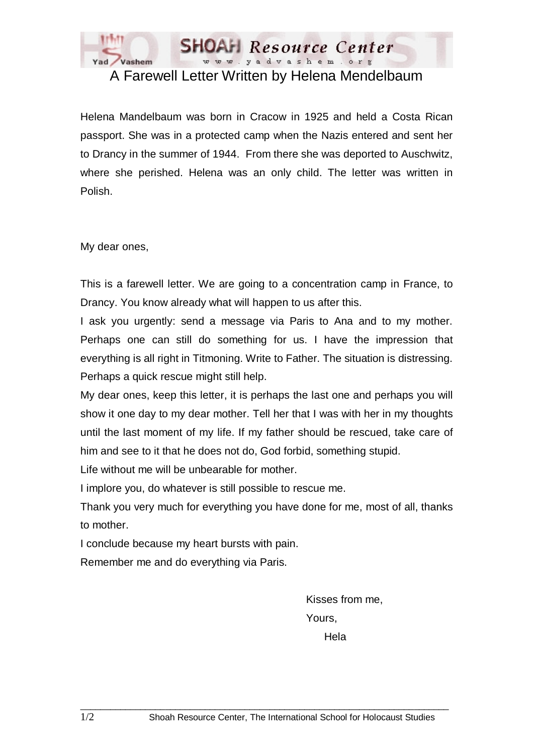

A Farewell Letter Written by Helena Mendelbaum

Helena Mandelbaum was born in Cracow in 1925 and held a Costa Rican passport. She was in a protected camp when the Nazis entered and sent her to Drancy in the summer of 1944. From there she was deported to Auschwitz, where she perished. Helena was an only child. The letter was written in Polish.

My dear ones,

This is a farewell letter. We are going to a concentration camp in France, to Drancy. You know already what will happen to us after this.

I ask you urgently: send a message via Paris to Ana and to my mother. Perhaps one can still do something for us. I have the impression that everything is all right in Titmoning. Write to Father. The situation is distressing. Perhaps a quick rescue might still help.

My dear ones, keep this letter, it is perhaps the last one and perhaps you will show it one day to my dear mother. Tell her that I was with her in my thoughts until the last moment of my life. If my father should be rescued, take care of him and see to it that he does not do, God forbid, something stupid.

Life without me will be unbearable for mother.

I implore you, do whatever is still possible to rescue me.

Thank you very much for everything you have done for me, most of all, thanks to mother.

I conclude because my heart bursts with pain.

Remember me and do everything via Paris.

Kisses from me, Yours, Hela

 $\_$  ,  $\_$  ,  $\_$  ,  $\_$  ,  $\_$  ,  $\_$  ,  $\_$  ,  $\_$  ,  $\_$  ,  $\_$  ,  $\_$  ,  $\_$  ,  $\_$  ,  $\_$  ,  $\_$  ,  $\_$  ,  $\_$  ,  $\_$  ,  $\_$